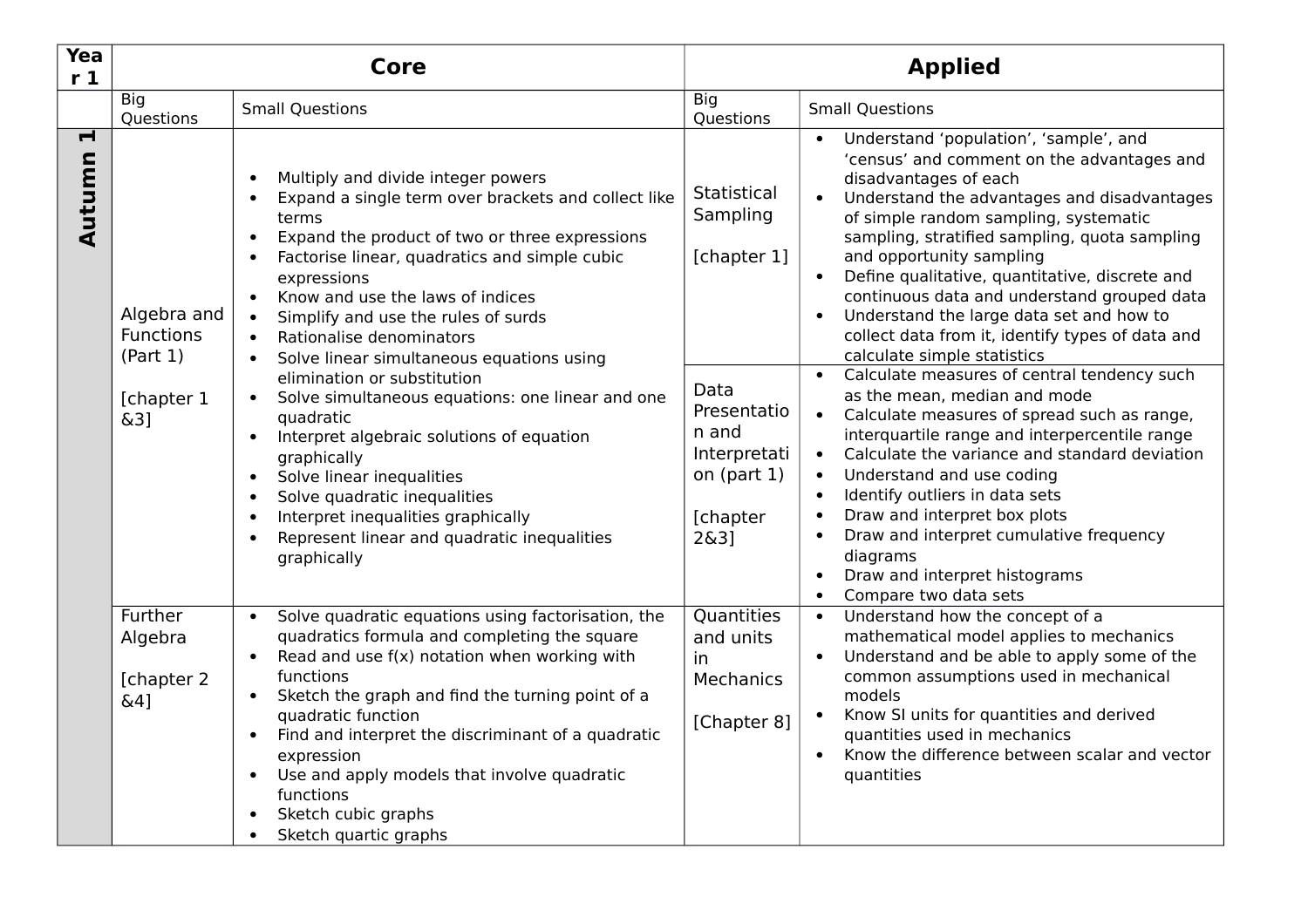| Yea<br>r <sub>1</sub>    | <b>Core</b>                                                      |                                                                                                                                                                                                                                                                                                                                                                                                                                                                                                                                                                                                                                                                                                                                                                                                                                                    | <b>Applied</b>                                                                                                              |                                                                                                                                                                                                                                                                                                                                                                                                                                                                                                                                                                                                                                                                                                                                                                                                                                                                                                                        |  |
|--------------------------|------------------------------------------------------------------|----------------------------------------------------------------------------------------------------------------------------------------------------------------------------------------------------------------------------------------------------------------------------------------------------------------------------------------------------------------------------------------------------------------------------------------------------------------------------------------------------------------------------------------------------------------------------------------------------------------------------------------------------------------------------------------------------------------------------------------------------------------------------------------------------------------------------------------------------|-----------------------------------------------------------------------------------------------------------------------------|------------------------------------------------------------------------------------------------------------------------------------------------------------------------------------------------------------------------------------------------------------------------------------------------------------------------------------------------------------------------------------------------------------------------------------------------------------------------------------------------------------------------------------------------------------------------------------------------------------------------------------------------------------------------------------------------------------------------------------------------------------------------------------------------------------------------------------------------------------------------------------------------------------------------|--|
|                          | <b>Big</b><br>Questions                                          | <b>Small Questions</b>                                                                                                                                                                                                                                                                                                                                                                                                                                                                                                                                                                                                                                                                                                                                                                                                                             | <b>Big</b><br>Questions                                                                                                     | <b>Small Questions</b>                                                                                                                                                                                                                                                                                                                                                                                                                                                                                                                                                                                                                                                                                                                                                                                                                                                                                                 |  |
| $\blacksquare$<br>Autumn | Algebra and<br><b>Functions</b><br>(Part 1)<br>[chapter 1<br>&3] | Multiply and divide integer powers<br>$\bullet$<br>Expand a single term over brackets and collect like<br>$\bullet$<br>terms<br>Expand the product of two or three expressions<br>$\bullet$<br>Factorise linear, quadratics and simple cubic<br>$\bullet$<br>expressions<br>Know and use the laws of indices<br>$\bullet$<br>Simplify and use the rules of surds<br>$\bullet$<br>Rationalise denominators<br>$\bullet$<br>Solve linear simultaneous equations using<br>$\bullet$<br>elimination or substitution<br>Solve simultaneous equations: one linear and one<br>$\bullet$<br>quadratic<br>Interpret algebraic solutions of equation<br>graphically<br>Solve linear inequalities<br>$\bullet$<br>Solve quadratic inequalities<br>$\bullet$<br>Interpret inequalities graphically<br>$\bullet$<br>Represent linear and quadratic inequalities | Statistical<br>Sampling<br>[chapter 1]<br>Data<br>Presentatio<br>n and<br>Interpretati<br>on $(part 1)$<br>[chapter<br>263] | Understand 'population', 'sample', and<br>'census' and comment on the advantages and<br>disadvantages of each<br>Understand the advantages and disadvantages<br>of simple random sampling, systematic<br>sampling, stratified sampling, quota sampling<br>and opportunity sampling<br>Define qualitative, quantitative, discrete and<br>$\bullet$<br>continuous data and understand grouped data<br>Understand the large data set and how to<br>collect data from it, identify types of data and<br>calculate simple statistics<br>Calculate measures of central tendency such<br>as the mean, median and mode<br>Calculate measures of spread such as range,<br>$\bullet$<br>interquartile range and interpercentile range<br>Calculate the variance and standard deviation<br>Understand and use coding<br>Identify outliers in data sets<br>Draw and interpret box plots<br>Draw and interpret cumulative frequency |  |
|                          | Further<br>Algebra                                               | graphically<br>Solve quadratic equations using factorisation, the<br>$\bullet$<br>quadratics formula and completing the square<br>Read and use $f(x)$ notation when working with<br>$\bullet$                                                                                                                                                                                                                                                                                                                                                                                                                                                                                                                                                                                                                                                      | Quantities<br>and units<br>in                                                                                               | diagrams<br>Draw and interpret histograms<br>$\bullet$<br>Compare two data sets<br>$\bullet$<br>Understand how the concept of a<br>$\bullet$<br>mathematical model applies to mechanics<br>Understand and be able to apply some of the                                                                                                                                                                                                                                                                                                                                                                                                                                                                                                                                                                                                                                                                                 |  |
|                          | [chapter 2<br>&4]                                                | functions<br>Sketch the graph and find the turning point of a<br>$\bullet$<br>quadratic function<br>Find and interpret the discriminant of a quadratic<br>$\bullet$<br>expression<br>Use and apply models that involve quadratic<br>$\bullet$<br>functions<br>Sketch cubic graphs<br>Sketch quartic graphs<br>$\bullet$                                                                                                                                                                                                                                                                                                                                                                                                                                                                                                                            | <b>Mechanics</b><br>[Chapter 8]                                                                                             | common assumptions used in mechanical<br>models<br>Know SI units for quantities and derived<br>quantities used in mechanics<br>Know the difference between scalar and vector<br>quantities                                                                                                                                                                                                                                                                                                                                                                                                                                                                                                                                                                                                                                                                                                                             |  |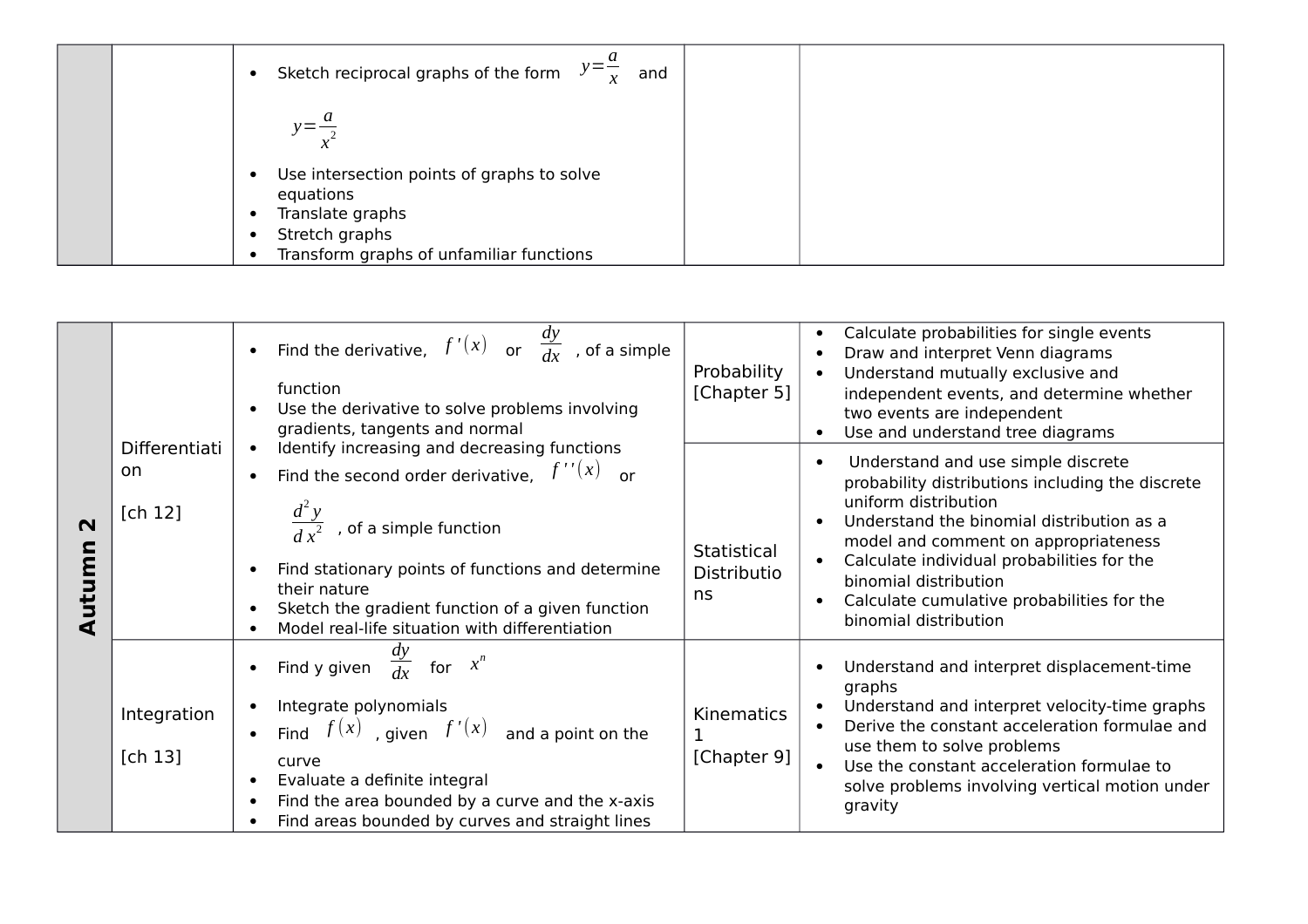| Sketch reciprocal graphs of the form $y = \frac{a}{x}$<br>and               |
|-----------------------------------------------------------------------------|
| $y = \frac{a}{2}$                                                           |
| Use intersection points of graphs to solve<br>equations<br>Translate graphs |
| Stretch graphs<br>Transform graphs of unfamiliar functions                  |

|                       |                        | • Find the derivative, $f'(x)$ or $\frac{dy}{dx}$ , of a simple<br>function<br>Use the derivative to solve problems involving<br>gradients, tangents and normal                                                                                                    | Probability<br>[Chapter 5]       | Calculate probabilities for single events<br>Draw and interpret Venn diagrams<br>Understand mutually exclusive and<br>independent events, and determine whether<br>two events are independent<br>Use and understand tree diagrams                                                                           |
|-----------------------|------------------------|--------------------------------------------------------------------------------------------------------------------------------------------------------------------------------------------------------------------------------------------------------------------|----------------------------------|-------------------------------------------------------------------------------------------------------------------------------------------------------------------------------------------------------------------------------------------------------------------------------------------------------------|
|                       | Differentiati<br>on.   | Identify increasing and decreasing functions<br>Find the second order derivative, $f''(x)$ or                                                                                                                                                                      |                                  | Understand and use simple discrete                                                                                                                                                                                                                                                                          |
| $\mathbf N$<br>Autumn | [ $ch 12$ ]            | $\frac{d^2y}{dx^2}$ , of a simple function<br>Find stationary points of functions and determine<br>their nature<br>Sketch the gradient function of a given function<br>Model real-life situation with differentiation                                              | Statistical<br>Distributio<br>ns | probability distributions including the discrete<br>uniform distribution<br>Understand the binomial distribution as a<br>model and comment on appropriateness<br>Calculate individual probabilities for the<br>binomial distribution<br>Calculate cumulative probabilities for the<br>binomial distribution |
|                       | Integration<br>[ch 13] | Find y given $\frac{dy}{dx}$ for $x^n$<br>Integrate polynomials<br>• Find $f(x)$ , given $f'(x)$ and a point on the<br>curve<br>Evaluate a definite integral<br>Find the area bounded by a curve and the x-axis<br>Find areas bounded by curves and straight lines | Kinematics<br>[Chapter 9]        | Understand and interpret displacement-time<br>graphs<br>Understand and interpret velocity-time graphs<br>Derive the constant acceleration formulae and<br>use them to solve problems<br>Use the constant acceleration formulae to<br>solve problems involving vertical motion under<br>gravity              |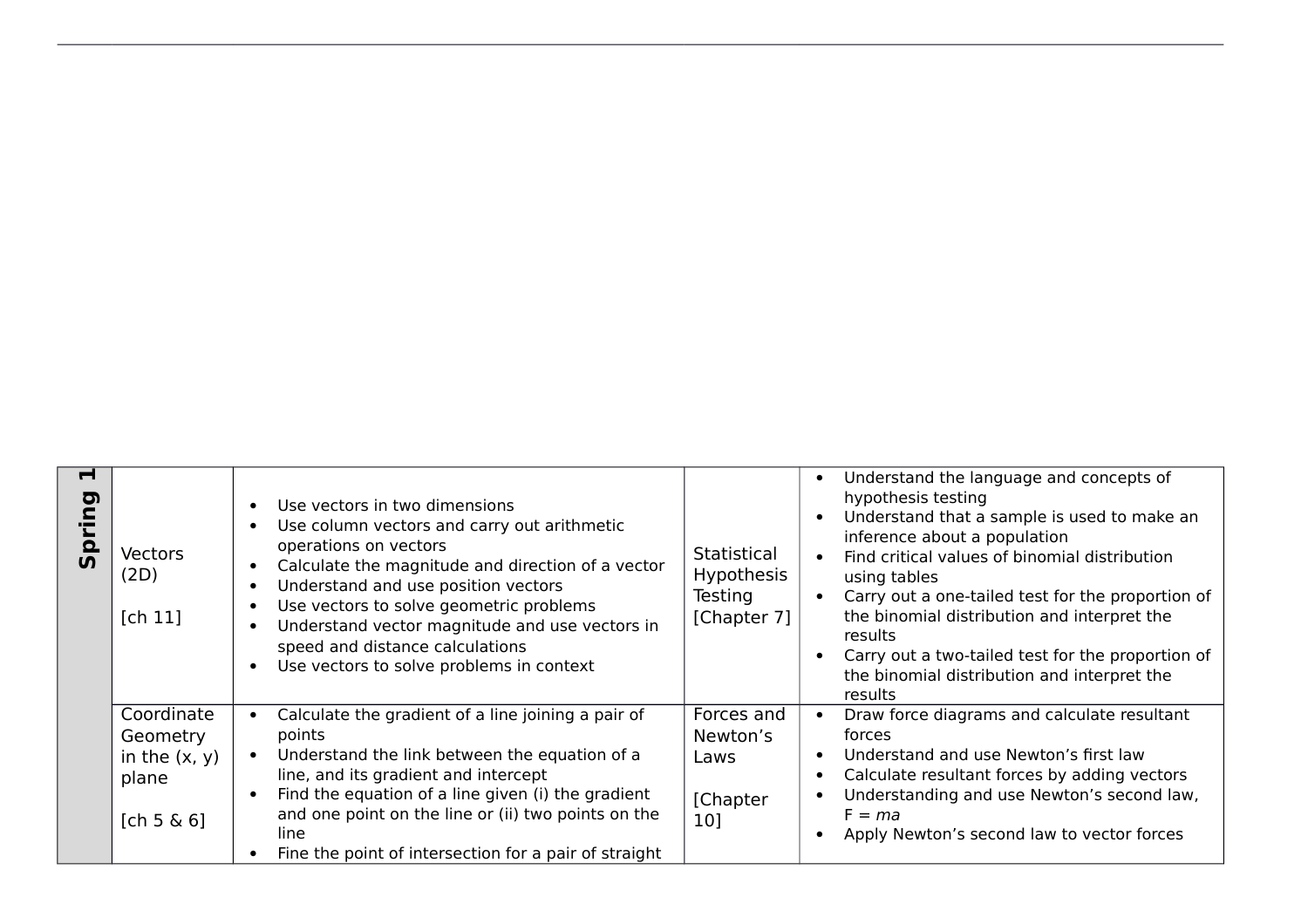| Н<br><u>ia</u> | <b>Vectors</b><br>(2D)<br>[ch 11]                                | Use vectors in two dimensions<br>Use column vectors and carry out arithmetic<br>operations on vectors<br>Calculate the magnitude and direction of a vector<br>Understand and use position vectors<br>Use vectors to solve geometric problems<br>Understand vector magnitude and use vectors in<br>speed and distance calculations<br>Use vectors to solve problems in context | Statistical<br><b>Hypothesis</b><br>Testing<br>[Chapter 7] | Understand the language and concepts of<br>hypothesis testing<br>Understand that a sample is used to make an<br>inference about a population<br>Find critical values of binomial distribution<br>using tables<br>Carry out a one-tailed test for the proportion of<br>the binomial distribution and interpret the<br>results<br>Carry out a two-tailed test for the proportion of<br>the binomial distribution and interpret the<br>results |
|----------------|------------------------------------------------------------------|-------------------------------------------------------------------------------------------------------------------------------------------------------------------------------------------------------------------------------------------------------------------------------------------------------------------------------------------------------------------------------|------------------------------------------------------------|---------------------------------------------------------------------------------------------------------------------------------------------------------------------------------------------------------------------------------------------------------------------------------------------------------------------------------------------------------------------------------------------------------------------------------------------|
|                | Coordinate<br>Geometry<br>in the $(x, y)$<br>plane<br>[ch 5 & 6] | Calculate the gradient of a line joining a pair of<br>points<br>Understand the link between the equation of a<br>line, and its gradient and intercept<br>Find the equation of a line given (i) the gradient<br>and one point on the line or (ii) two points on the<br>line<br>Fine the point of intersection for a pair of straight                                           | Forces and<br>Newton's<br>Laws<br>[Chapter<br>10]          | Draw force diagrams and calculate resultant<br>forces<br>Understand and use Newton's first law<br>$\bullet$<br>Calculate resultant forces by adding vectors<br>Understanding and use Newton's second law,<br>$F = ma$<br>Apply Newton's second law to vector forces                                                                                                                                                                         |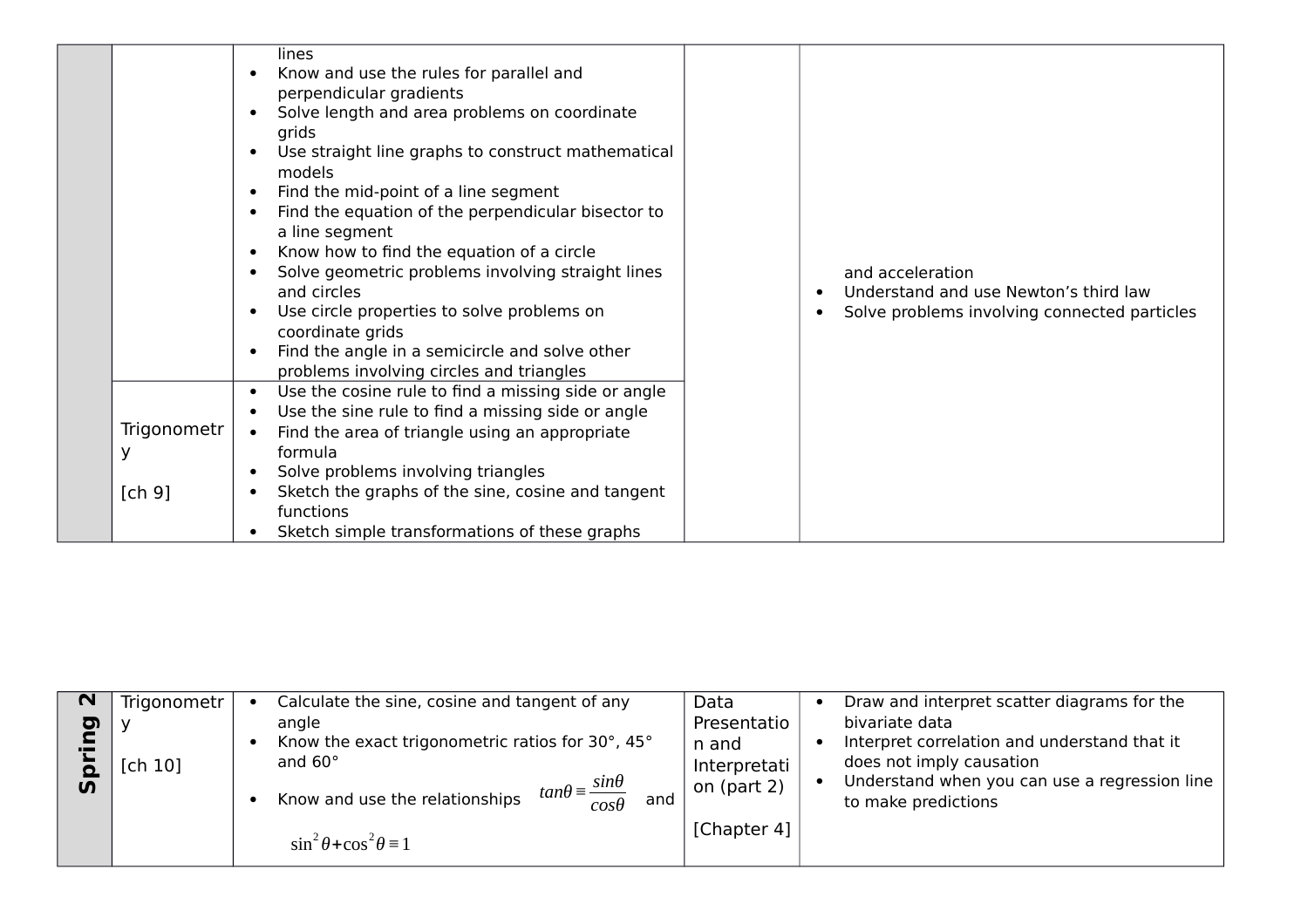| Trigonometr<br>У | lines<br>Know and use the rules for parallel and<br>perpendicular gradients<br>Solve length and area problems on coordinate<br>grids<br>Use straight line graphs to construct mathematical<br>models<br>Find the mid-point of a line segment<br>Find the equation of the perpendicular bisector to<br>$\bullet$<br>a line segment<br>Know how to find the equation of a circle<br>$\bullet$<br>Solve geometric problems involving straight lines<br>and circles<br>Use circle properties to solve problems on<br>$\bullet$<br>coordinate grids<br>Find the angle in a semicircle and solve other<br>problems involving circles and triangles<br>Use the cosine rule to find a missing side or angle<br>$\bullet$<br>Use the sine rule to find a missing side or angle<br>Find the area of triangle using an appropriate<br>$\bullet$<br>formula<br>Solve problems involving triangles | and acceleration<br>Understand and use Newton's third law<br>Solve problems involving connected particles |
|------------------|---------------------------------------------------------------------------------------------------------------------------------------------------------------------------------------------------------------------------------------------------------------------------------------------------------------------------------------------------------------------------------------------------------------------------------------------------------------------------------------------------------------------------------------------------------------------------------------------------------------------------------------------------------------------------------------------------------------------------------------------------------------------------------------------------------------------------------------------------------------------------------------|-----------------------------------------------------------------------------------------------------------|
| [ch 9]           | Sketch the graphs of the sine, cosine and tangent<br>functions<br>Sketch simple transformations of these graphs                                                                                                                                                                                                                                                                                                                                                                                                                                                                                                                                                                                                                                                                                                                                                                       |                                                                                                           |

| $\mathbf N$<br><b>D</b><br>$\overline{u}$ | Trigonometr<br>[ch 10] | Calculate the sine, cosine and tangent of any<br>angle<br>Know the exact trigonometric ratios for 30°, 45°<br>and $60^\circ$<br>$tan\theta = \frac{sin\theta}{2}$<br>Know and use the relationships<br>and<br>$cos\theta$<br>$\sin^2 \theta + \cos^2 \theta = 1$ | Data<br>Presentatio<br>n and<br>Interpretati<br>on (part 2)<br>[Chapter 4] | Draw and interpret scatter diagrams for the<br>bivariate data<br>Interpret correlation and understand that it<br>does not imply causation<br>Understand when you can use a regression line<br>to make predictions |
|-------------------------------------------|------------------------|------------------------------------------------------------------------------------------------------------------------------------------------------------------------------------------------------------------------------------------------------------------|----------------------------------------------------------------------------|-------------------------------------------------------------------------------------------------------------------------------------------------------------------------------------------------------------------|
|-------------------------------------------|------------------------|------------------------------------------------------------------------------------------------------------------------------------------------------------------------------------------------------------------------------------------------------------------|----------------------------------------------------------------------------|-------------------------------------------------------------------------------------------------------------------------------------------------------------------------------------------------------------------|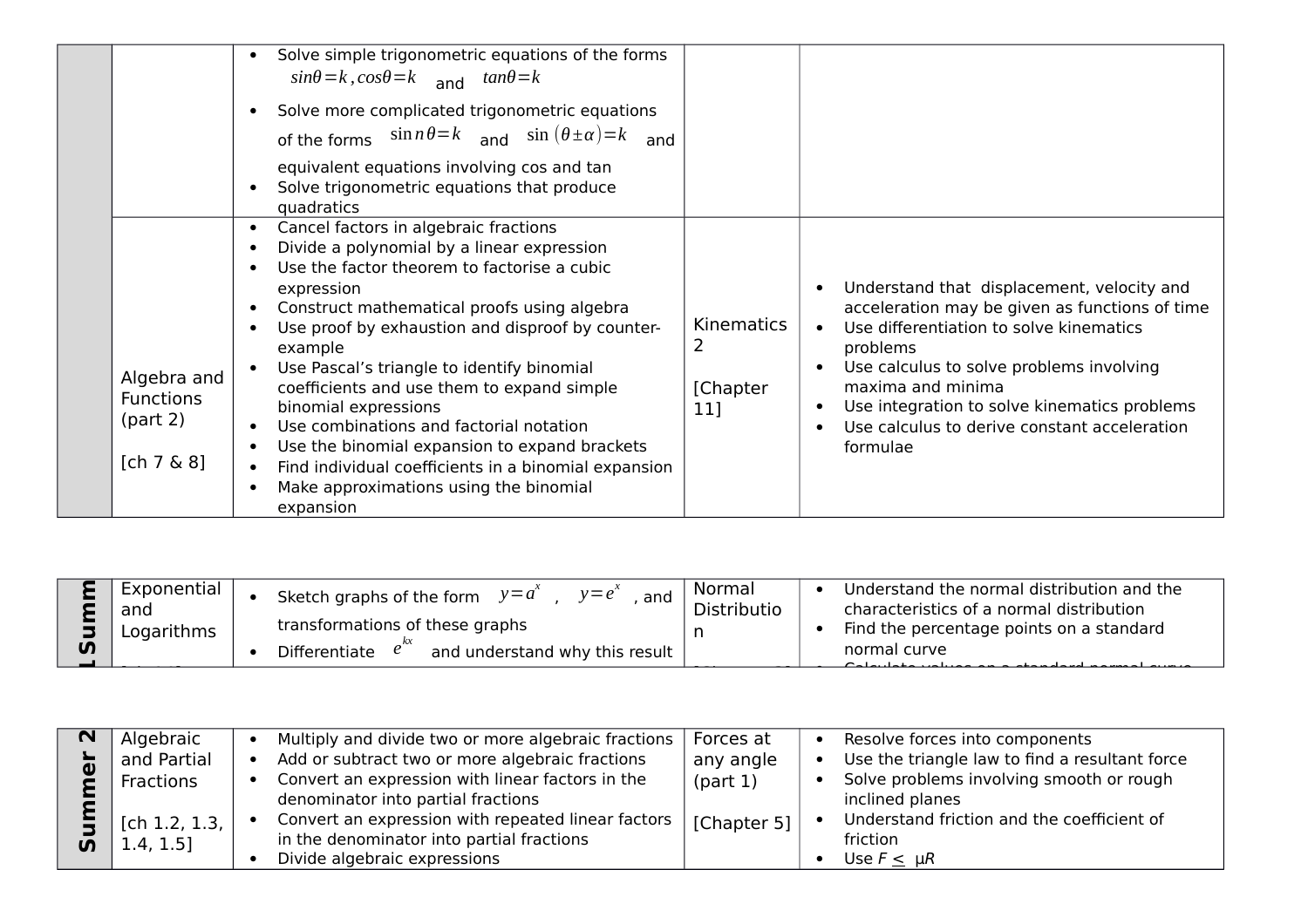|                                                          | Solve simple trigonometric equations of the forms<br>$\bullet$<br>$sin\theta = k$ , $cos\theta = k$ and $tan\theta = k$<br>Solve more complicated trigonometric equations<br>of the forms $\sin n\theta = k$ and $\sin (\theta \pm \alpha) = k$<br>and<br>equivalent equations involving cos and tan<br>Solve trigonometric equations that produce<br>$\bullet$<br>quadratics                                                                                                                                                                                                                                                        |                                      |                                                                                                                                                                                                                                                                                                                                               |
|----------------------------------------------------------|--------------------------------------------------------------------------------------------------------------------------------------------------------------------------------------------------------------------------------------------------------------------------------------------------------------------------------------------------------------------------------------------------------------------------------------------------------------------------------------------------------------------------------------------------------------------------------------------------------------------------------------|--------------------------------------|-----------------------------------------------------------------------------------------------------------------------------------------------------------------------------------------------------------------------------------------------------------------------------------------------------------------------------------------------|
| Algebra and<br><b>Functions</b><br>part 2)<br>[ch 7 & 8] | Cancel factors in algebraic fractions<br>$\bullet$<br>Divide a polynomial by a linear expression<br>Use the factor theorem to factorise a cubic<br>expression<br>Construct mathematical proofs using algebra<br>Use proof by exhaustion and disproof by counter-<br>$\bullet$<br>example<br>Use Pascal's triangle to identify binomial<br>coefficients and use them to expand simple<br>binomial expressions<br>Use combinations and factorial notation<br>Use the binomial expansion to expand brackets<br>Find individual coefficients in a binomial expansion<br>Make approximations using the binomial<br>$\bullet$<br>expansion | <b>Kinematics</b><br>[Chapter<br>11] | Understand that displacement, velocity and<br>acceleration may be given as functions of time<br>Use differentiation to solve kinematics<br>$\bullet$<br>problems<br>Use calculus to solve problems involving<br>maxima and minima<br>Use integration to solve kinematics problems<br>Use calculus to derive constant acceleration<br>formulae |

| <u>ທ</u> | I Exponential<br>and<br>Logarithms | Sketch graphs of the form $y = a^2$<br>$v=e^{\lambda}$<br>and<br>transformations of these graphs<br>Differentiate<br>and understand why this result | Normal<br>Distributio | Understand the normal distribution and the<br>characteristics of a normal distribution<br>Find the percentage points on a standard<br>normal curve |
|----------|------------------------------------|-----------------------------------------------------------------------------------------------------------------------------------------------------|-----------------------|----------------------------------------------------------------------------------------------------------------------------------------------------|
|          |                                    |                                                                                                                                                     |                       |                                                                                                                                                    |

| Algebraic                         | Multiply and divide two or more algebraic fractions                                                                             | Forces at                                     | Resolve forces into components                 |
|-----------------------------------|---------------------------------------------------------------------------------------------------------------------------------|-----------------------------------------------|------------------------------------------------|
| and Partial                       | Add or subtract two or more algebraic fractions                                                                                 | any angle                                     | Use the triangle law to find a resultant force |
| Fractions                         | Convert an expression with linear factors in the<br>denominator into partial fractions                                          | part 1)<br>inclined planes                    | Solve problems involving smooth or rough       |
| [ch 1.2, 1.3, $ $<br>$1.4, 1.5$ ] | Convert an expression with repeated linear factors<br>in the denominator into partial fractions<br>Divide algebraic expressions | [Chapter 5]<br>friction<br>Use $F \leq \mu R$ | Understand friction and the coefficient of     |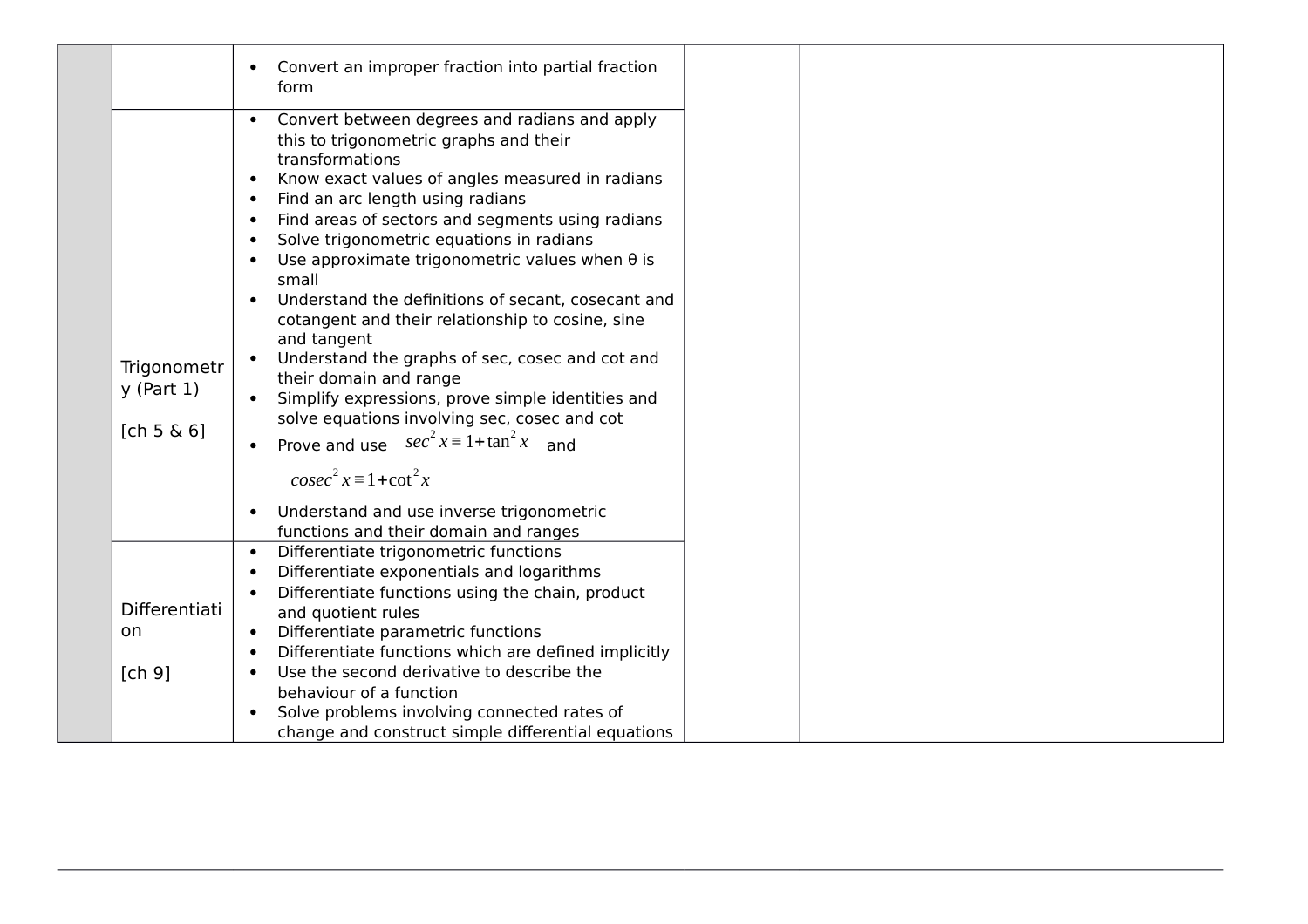|                                               | Convert an improper fraction into partial fraction<br>$\bullet$<br>form                                                                                                                                                                                                                                                                                                                                                                                                                                                                                                                                                                                                                                                                                                                                                                                                                                                                                         |  |
|-----------------------------------------------|-----------------------------------------------------------------------------------------------------------------------------------------------------------------------------------------------------------------------------------------------------------------------------------------------------------------------------------------------------------------------------------------------------------------------------------------------------------------------------------------------------------------------------------------------------------------------------------------------------------------------------------------------------------------------------------------------------------------------------------------------------------------------------------------------------------------------------------------------------------------------------------------------------------------------------------------------------------------|--|
| Trigonometr<br>$y$ (Part 1)<br>[ch 5 $\& 6$ ] | Convert between degrees and radians and apply<br>$\bullet$<br>this to trigonometric graphs and their<br>transformations<br>Know exact values of angles measured in radians<br>$\bullet$<br>Find an arc length using radians<br>$\bullet$<br>Find areas of sectors and segments using radians<br>$\bullet$<br>Solve trigonometric equations in radians<br>$\bullet$<br>Use approximate trigonometric values when $\theta$ is<br>$\bullet$<br>small<br>Understand the definitions of secant, cosecant and<br>$\bullet$<br>cotangent and their relationship to cosine, sine<br>and tangent<br>Understand the graphs of sec, cosec and cot and<br>their domain and range<br>Simplify expressions, prove simple identities and<br>solve equations involving sec, cosec and cot<br>Prove and use $sec^2 x \equiv 1 + tan^2 x$ and<br>$\csc^2 x \equiv 1 + \cot^2 x$<br>Understand and use inverse trigonometric<br>$\bullet$<br>functions and their domain and ranges |  |
| Differentiati<br>on<br>[ch 9]                 | Differentiate trigonometric functions<br>$\bullet$<br>Differentiate exponentials and logarithms<br>$\bullet$<br>Differentiate functions using the chain, product<br>$\bullet$<br>and quotient rules<br>Differentiate parametric functions<br>$\bullet$<br>Differentiate functions which are defined implicitly<br>$\bullet$<br>Use the second derivative to describe the<br>$\bullet$<br>behaviour of a function<br>Solve problems involving connected rates of<br>change and construct simple differential equations                                                                                                                                                                                                                                                                                                                                                                                                                                           |  |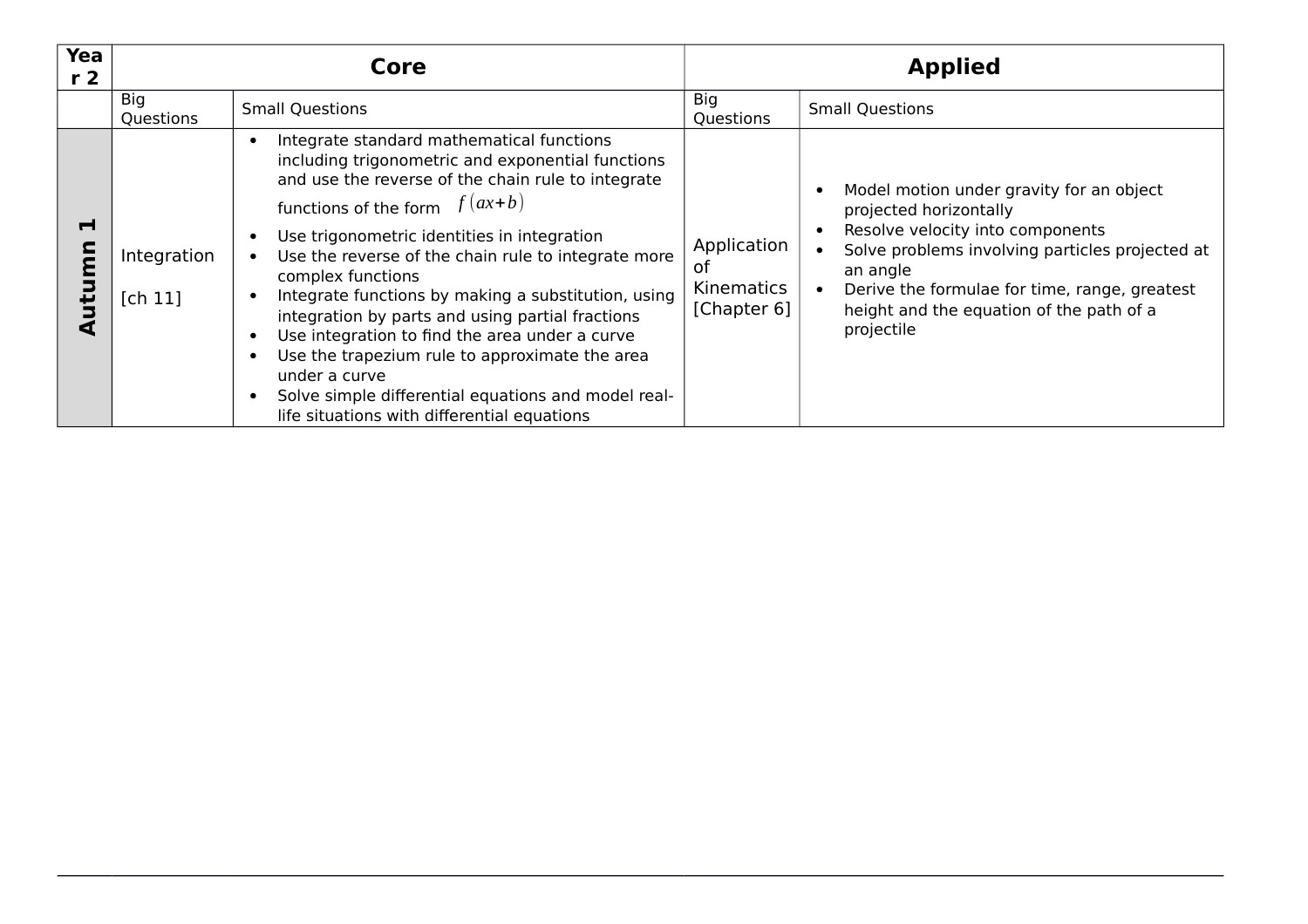| Yea<br>r <sub>2</sub> |                        | Core                                                                                                                                                                                                                                                                                                                                                                                                                                                                                                                                                                                                                                                                                             |                                                | <b>Applied</b>                                                                                                                                                                                                                                                                   |  |
|-----------------------|------------------------|--------------------------------------------------------------------------------------------------------------------------------------------------------------------------------------------------------------------------------------------------------------------------------------------------------------------------------------------------------------------------------------------------------------------------------------------------------------------------------------------------------------------------------------------------------------------------------------------------------------------------------------------------------------------------------------------------|------------------------------------------------|----------------------------------------------------------------------------------------------------------------------------------------------------------------------------------------------------------------------------------------------------------------------------------|--|
|                       | Big<br>Questions       | <b>Small Questions</b>                                                                                                                                                                                                                                                                                                                                                                                                                                                                                                                                                                                                                                                                           | Big<br>Questions                               | <b>Small Questions</b>                                                                                                                                                                                                                                                           |  |
| Н<br>utumn            | Integration<br>[ch 11] | Integrate standard mathematical functions<br>$\epsilon$<br>including trigonometric and exponential functions<br>and use the reverse of the chain rule to integrate<br>functions of the form $f(ax+b)$<br>Use trigonometric identities in integration<br>Use the reverse of the chain rule to integrate more<br>complex functions<br>Integrate functions by making a substitution, using<br>$\bullet$<br>integration by parts and using partial fractions<br>Use integration to find the area under a curve<br>Use the trapezium rule to approximate the area<br>under a curve<br>Solve simple differential equations and model real-<br>$\bullet$<br>life situations with differential equations | Application<br>0t<br>Kinematics<br>[Chapter 6] | Model motion under gravity for an object<br>projected horizontally<br>Resolve velocity into components<br>Solve problems involving particles projected at<br>an angle<br>Derive the formulae for time, range, greatest<br>height and the equation of the path of a<br>projectile |  |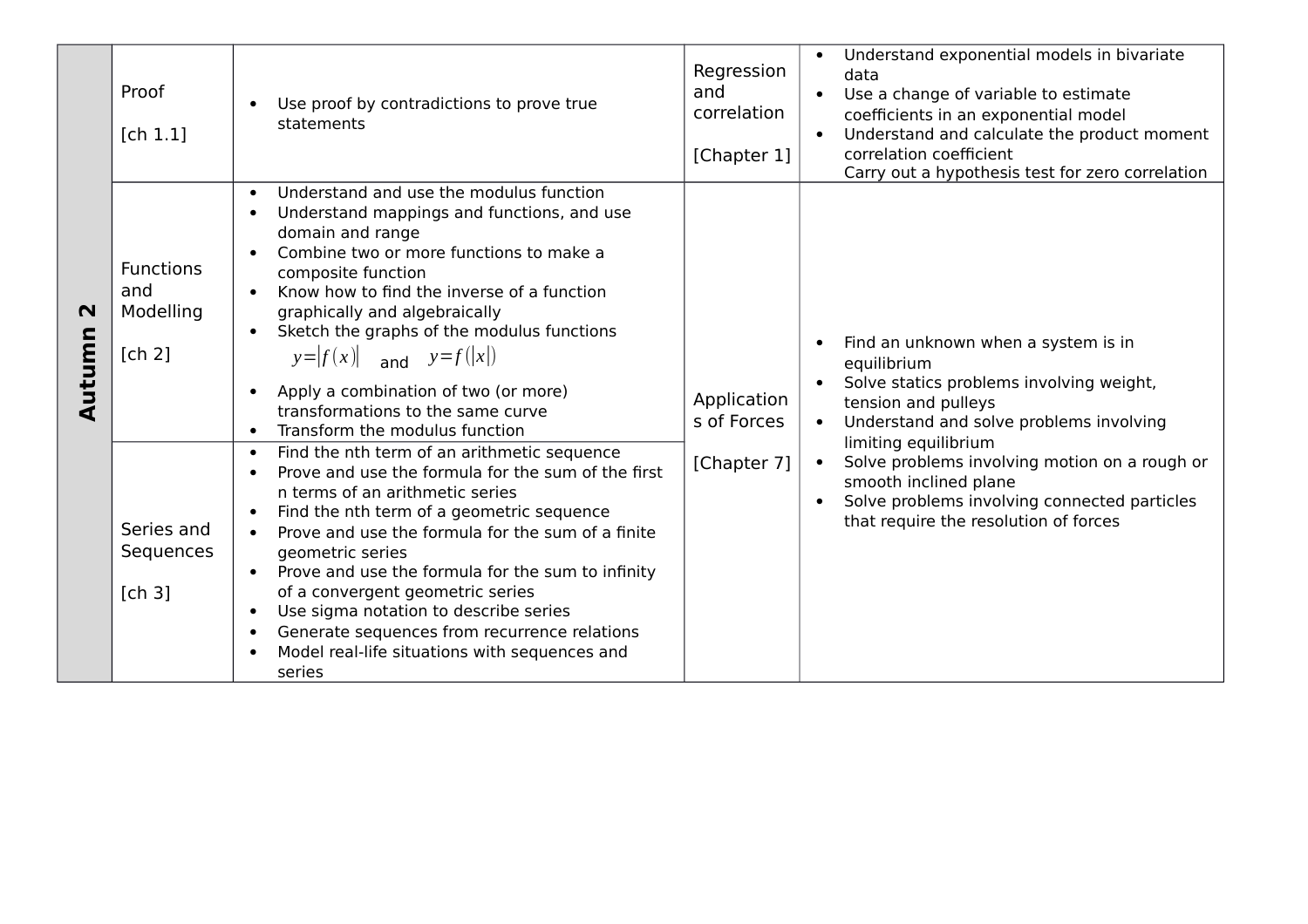|                       | Proof<br>[ch 1.1]                                                                   | Use proof by contradictions to prove true<br>statements                                                                                                                                                                                                                                                                                                                                                                                                                                                                                                                                                                                                                                                                                                                                                                                                                                                                                                                                                                                                                                                                                              | Regression<br>and<br>correlation<br>[Chapter 1] | Understand exponential models in bivariate<br>$\bullet$<br>data<br>Use a change of variable to estimate<br>coefficients in an exponential model<br>Understand and calculate the product moment<br>correlation coefficient<br>Carry out a hypothesis test for zero correlation                                                                                                         |
|-----------------------|-------------------------------------------------------------------------------------|------------------------------------------------------------------------------------------------------------------------------------------------------------------------------------------------------------------------------------------------------------------------------------------------------------------------------------------------------------------------------------------------------------------------------------------------------------------------------------------------------------------------------------------------------------------------------------------------------------------------------------------------------------------------------------------------------------------------------------------------------------------------------------------------------------------------------------------------------------------------------------------------------------------------------------------------------------------------------------------------------------------------------------------------------------------------------------------------------------------------------------------------------|-------------------------------------------------|---------------------------------------------------------------------------------------------------------------------------------------------------------------------------------------------------------------------------------------------------------------------------------------------------------------------------------------------------------------------------------------|
| $\mathbf N$<br>Autumn | <b>Functions</b><br>and<br>Modelling<br>[ch 2]<br>Series and<br>Sequences<br>[ch 3] | Understand and use the modulus function<br>$\bullet$<br>Understand mappings and functions, and use<br>$\bullet$<br>domain and range<br>Combine two or more functions to make a<br>$\bullet$<br>composite function<br>Know how to find the inverse of a function<br>graphically and algebraically<br>Sketch the graphs of the modulus functions<br>$\bullet$<br>$y= f(x) $ and $y=f( x )$<br>Apply a combination of two (or more)<br>$\bullet$<br>transformations to the same curve<br>Transform the modulus function<br>$\bullet$<br>Find the nth term of an arithmetic sequence<br>$\bullet$<br>Prove and use the formula for the sum of the first<br>$\bullet$<br>n terms of an arithmetic series<br>Find the nth term of a geometric sequence<br>$\bullet$<br>Prove and use the formula for the sum of a finite<br>$\bullet$<br>geometric series<br>Prove and use the formula for the sum to infinity<br>$\bullet$<br>of a convergent geometric series<br>Use sigma notation to describe series<br>$\bullet$<br>Generate sequences from recurrence relations<br>$\bullet$<br>Model real-life situations with sequences and<br>$\bullet$<br>series | Application<br>s of Forces<br>[Chapter 7]       | Find an unknown when a system is in<br>$\bullet$<br>equilibrium<br>Solve statics problems involving weight,<br>tension and pulleys<br>Understand and solve problems involving<br>$\bullet$<br>limiting equilibrium<br>Solve problems involving motion on a rough or<br>smooth inclined plane<br>Solve problems involving connected particles<br>that require the resolution of forces |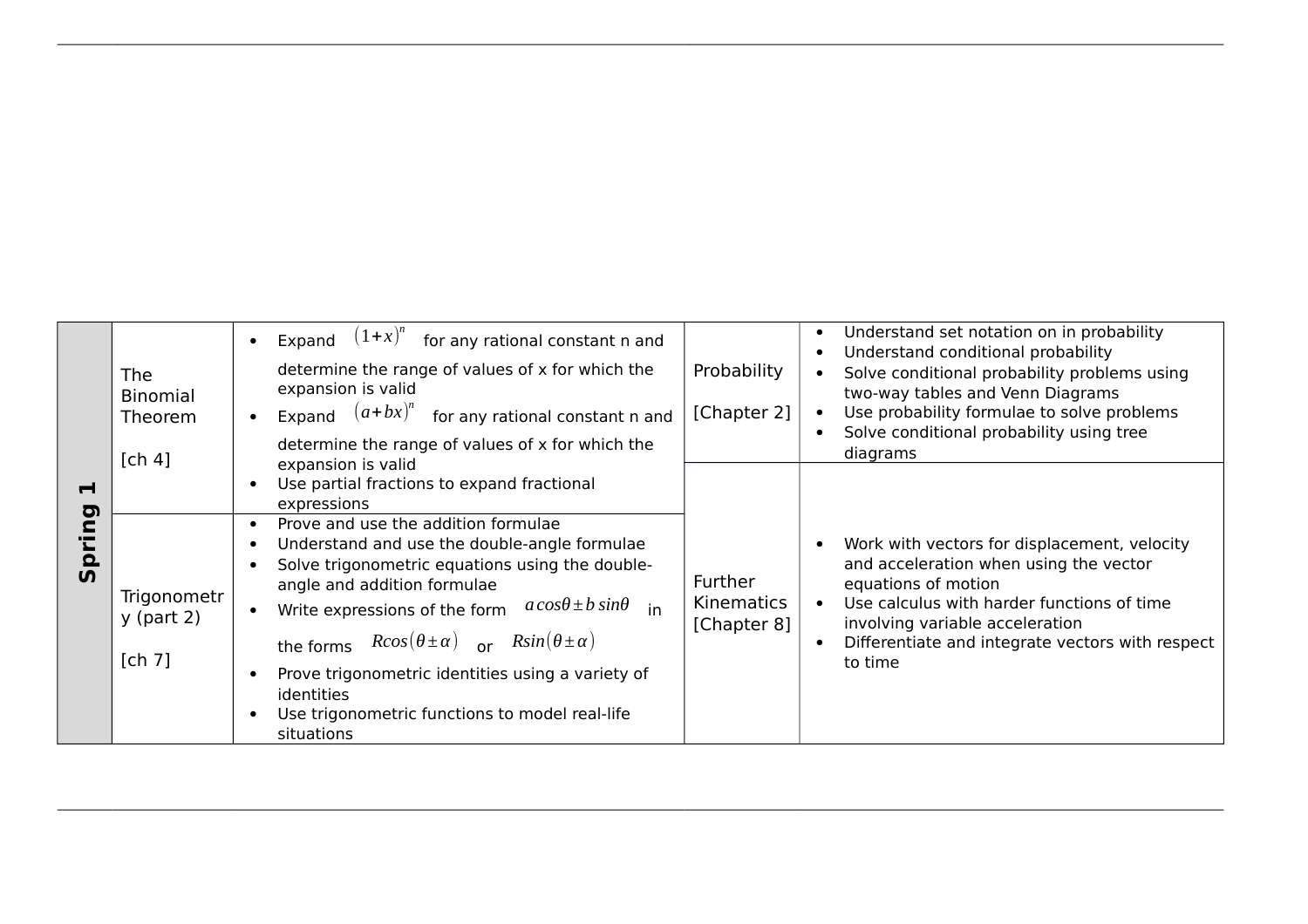|                                                    | <b>The</b><br><b>Binomial</b><br>Theorem<br>[ch 4] | $(1+x)^n$ for any rational constant n and<br>Expand<br>determine the range of values of x for which the<br>expansion is valid<br>Expand $(a+bx)^n$<br>for any rational constant n and<br>determine the range of values of x for which the                                                                                                                                                                                                                                                                                              | Probability<br>[Chapter 2]                  | Understand set notation on in probability<br>Understand conditional probability<br>Solve conditional probability problems using<br>two-way tables and Venn Diagrams<br>Use probability formulae to solve problems<br>Solve conditional probability using tree<br>diagrams |
|----------------------------------------------------|----------------------------------------------------|----------------------------------------------------------------------------------------------------------------------------------------------------------------------------------------------------------------------------------------------------------------------------------------------------------------------------------------------------------------------------------------------------------------------------------------------------------------------------------------------------------------------------------------|---------------------------------------------|---------------------------------------------------------------------------------------------------------------------------------------------------------------------------------------------------------------------------------------------------------------------------|
| $\blacksquare$<br><u>ත</u><br><u>ō</u><br><b>5</b> | Trigonometr<br>$y$ (part 2)<br>[ch 7]              | expansion is valid<br>Use partial fractions to expand fractional<br>expressions<br>Prove and use the addition formulae<br>Understand and use the double-angle formulae<br>Solve trigonometric equations using the double-<br>angle and addition formulae<br>$a\cos\theta \pm b\sin\theta$ in<br>Write expressions of the form<br>the forms $R\cos(\theta \pm \alpha)$ or $R\sin(\theta \pm \alpha)$<br>Prove trigonometric identities using a variety of<br>identities<br>Use trigonometric functions to model real-life<br>situations | <b>Further</b><br>Kinematics<br>[Chapter 8] | Work with vectors for displacement, velocity<br>and acceleration when using the vector<br>equations of motion<br>Use calculus with harder functions of time<br>involving variable acceleration<br>Differentiate and integrate vectors with respect<br>to time             |